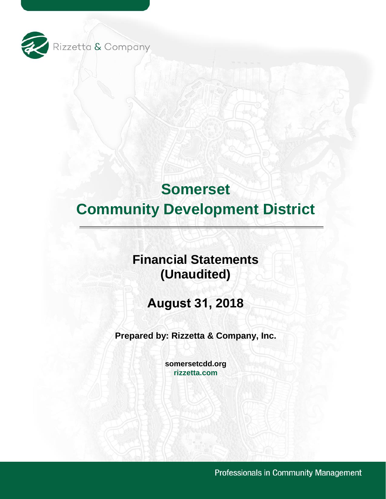

# **Financial Statements (Unaudited)**

**August 31, 2018** 

**Prepared by: Rizzetta & Company, Inc.** 

**[somersetcdd.org](https://somersetcdd.org) [rizzetta.com](https://rizzetta.com)** 

Professionals in Community Management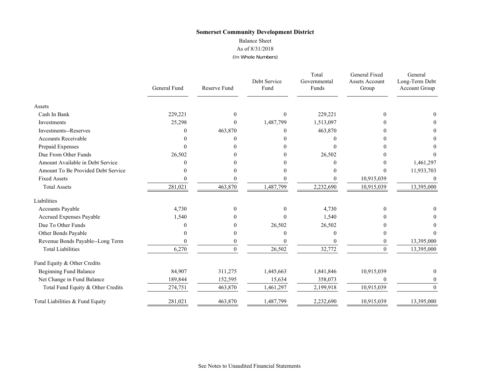#### Balance Sheet

As of 8/31/2018

(In Whole Numbers)

|                                    | General Fund | <b>Reserve Fund</b> | Debt Service<br>Fund | Total<br>Governmental<br>Funds | General Fixed<br><b>Assets Account</b><br>Group | General<br>Long-Term Debt<br>Account Group |
|------------------------------------|--------------|---------------------|----------------------|--------------------------------|-------------------------------------------------|--------------------------------------------|
| Assets                             |              |                     |                      |                                |                                                 |                                            |
| Cash In Bank                       | 229,221      | $\theta$            | $\mathbf{0}$         | 229,221                        | $\Omega$                                        | 0                                          |
| Investments                        | 25,298       | $\Omega$            | 1,487,799            | 1,513,097                      |                                                 |                                            |
| <b>Investments--Reserves</b>       | 0            | 463,870             | $\boldsymbol{0}$     | 463,870                        |                                                 | 0                                          |
| <b>Accounts Receivable</b>         |              |                     | 0                    |                                |                                                 |                                            |
| Prepaid Expenses                   |              |                     | 0                    |                                |                                                 |                                            |
| Due From Other Funds               | 26,502       |                     | $\Omega$             | 26,502                         |                                                 |                                            |
| Amount Available in Debt Service   |              |                     |                      |                                |                                                 | 1,461,297                                  |
| Amount To Be Provided Debt Service |              |                     | 0                    |                                | $\Omega$                                        | 11,933,703                                 |
| <b>Fixed Assets</b>                |              |                     | $\mathbf{0}$         | 0                              | 10,915,039                                      | $\theta$                                   |
| <b>Total Assets</b>                | 281,021      | 463,870             | 1,487,799            | 2,232,690                      | 10,915,039                                      | 13,395,000                                 |
| Liabilities                        |              |                     |                      |                                |                                                 |                                            |
| Accounts Payable                   | 4,730        | $\theta$            | $\mathbf{0}$         | 4,730                          | $\Omega$                                        |                                            |
| Accrued Expenses Payable           | 1,540        |                     | $\theta$             | 1,540                          |                                                 |                                            |
| Due To Other Funds                 | 0            |                     | 26,502               | 26,502                         |                                                 |                                            |
| Other Bonds Payable                |              | 0                   | $\theta$             | $\Omega$                       |                                                 |                                            |
| Revenue Bonds Payable--Long Term   | 0            |                     | 0                    |                                | $\theta$                                        | 13,395,000                                 |
| <b>Total Liabilities</b>           | 6,270        | $\theta$            | 26,502               | 32,772                         | $\Omega$                                        | 13,395,000                                 |
| Fund Equity & Other Credits        |              |                     |                      |                                |                                                 |                                            |
| <b>Beginning Fund Balance</b>      | 84,907       | 311,275             | 1,445,663            | 1,841,846                      | 10,915,039                                      | $\theta$                                   |
| Net Change in Fund Balance         | 189,844      | 152,595             | 15,634               | 358,073                        | $\Omega$                                        | 0                                          |
| Total Fund Equity & Other Credits  | 274,751      | 463,870             | 1,461,297            | 2,199,918                      | 10,915,039                                      | $\overline{0}$                             |
| Total Liabilities & Fund Equity    | 281,021      | 463,870             | 1,487,799            | 2,232,690                      | 10,915,039                                      | 13,395,000                                 |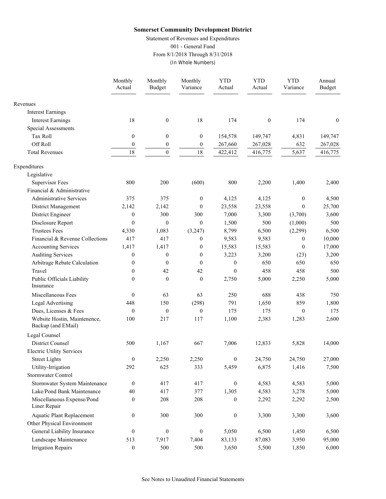Statement of Revenues and Expenditures

001 - General Fund

From 8/1/2018 Through 8/31/2018

(In Whole Numbers)

|                                                    | Monthly<br>Actual | Monthly<br><b>Budget</b> | Monthly<br>Variance | <b>YTD</b><br>Actual | <b>YTD</b><br>Actual | <b>YTD</b><br>Variance | Annual<br><b>Budget</b> |
|----------------------------------------------------|-------------------|--------------------------|---------------------|----------------------|----------------------|------------------------|-------------------------|
| Revenues                                           |                   |                          |                     |                      |                      |                        |                         |
| <b>Interest Earnings</b>                           |                   |                          |                     |                      |                      |                        |                         |
| <b>Interest Earnings</b>                           | 18                | $\boldsymbol{0}$         | 18                  | 174                  | $\boldsymbol{0}$     | 174                    | $\boldsymbol{0}$        |
| Special Assessments                                |                   |                          |                     |                      |                      |                        |                         |
| Tax Roll                                           | $\boldsymbol{0}$  | $\boldsymbol{0}$         | $\boldsymbol{0}$    | 154,578              | 149,747              | 4,831                  | 149,747                 |
| Off Roll                                           | $\boldsymbol{0}$  | $\boldsymbol{0}$         | $\boldsymbol{0}$    | 267,660              | 267,028              | 632                    | 267,028                 |
| <b>Total Revenues</b>                              | 18                | $\boldsymbol{0}$         | 18                  | 422,412              | 416,775              | 5,637                  | 416,775                 |
| Expenditures                                       |                   |                          |                     |                      |                      |                        |                         |
| Legislative                                        |                   |                          |                     |                      |                      |                        |                         |
| <b>Supervisor Fees</b>                             | 800               | 200                      | (600)               | 800                  | 2,200                | 1,400                  | 2,400                   |
| Financial & Administrative                         |                   |                          |                     |                      |                      |                        |                         |
| <b>Administrative Services</b>                     | 375               | 375                      | $\boldsymbol{0}$    | 4,125                | 4,125                | $\boldsymbol{0}$       | 4,500                   |
| District Management                                | 2,142             | 2,142                    | $\theta$            | 23,558               | 23,558               | $\overline{0}$         | 25,700                  |
| District Engineer                                  | $\boldsymbol{0}$  | 300                      | 300                 | 7,000                | 3,300                | (3,700)                | 3,600                   |
| Disclosure Report                                  | $\mathbf{0}$      | $\mathbf{0}$             | $\mathbf{0}$        | 1,500                | 500                  | (1,000)                | 500                     |
| <b>Trustees Fees</b>                               | 4,330             | 1,083                    | (3,247)             | 8,799                | 6,500                | (2,299)                | 6,500                   |
| Financial & Revenue Collections                    | 417               | 417                      | $\boldsymbol{0}$    | 9,583                | 9,583                | $\mathbf{0}$           | 10,000                  |
| <b>Accounting Services</b>                         | 1,417             | 1,417                    | $\boldsymbol{0}$    | 15,583               | 15,583               | $\theta$               | 17,000                  |
| <b>Auditing Services</b>                           | $\mathbf{0}$      | $\mathbf{0}$             | $\boldsymbol{0}$    | 3,223                | 3,200                | (23)                   | 3,200                   |
| Arbitrage Rebate Calculation                       | $\boldsymbol{0}$  | $\theta$                 | $\mathbf{0}$        | $\boldsymbol{0}$     | 650                  | 650                    | 650                     |
| Travel                                             | $\mathbf{0}$      | 42                       | 42                  | $\boldsymbol{0}$     | 458                  | 458                    | 500                     |
| Public Officials Liability<br>Insurance            | $\mathbf{0}$      | $\boldsymbol{0}$         | $\boldsymbol{0}$    | 2,750                | 5,000                | 2,250                  | 5,000                   |
| Miscellaneous Fees                                 | $\boldsymbol{0}$  | 63                       | 63                  | 250                  | 688                  | 438                    | 750                     |
| <b>Legal Advertising</b>                           | 448               | 150                      | (298)               | 791                  | 1,650                | 859                    | 1,800                   |
| Dues, Licenses & Fees                              | $\boldsymbol{0}$  | $\mathbf{0}$             | $\boldsymbol{0}$    | 175                  | 175                  | $\theta$               | 175                     |
| Website Hostin, Maintenence,<br>Backup (and EMail) | 100               | 217                      | 117                 | 1,100                | 2,383                | 1,283                  | 2,600                   |
| Legal Counsel                                      |                   |                          |                     |                      |                      |                        |                         |
| <b>District Counsel</b>                            | 500               | 1,167                    | 667                 | 7,006                | 12,833               | 5,828                  | 14,000                  |
| <b>Electric Utility Services</b>                   |                   |                          |                     |                      |                      |                        |                         |
| <b>Street Lights</b>                               | $\boldsymbol{0}$  | 2,250                    | 2,250               | $\boldsymbol{0}$     | 24,750               | 24,750                 | 27,000                  |
| Utility-Irrigation                                 | 292               | 625                      | 333                 | 5,459                | 6,875                | 1,416                  | 7,500                   |
| Stormwater Control                                 |                   |                          |                     |                      |                      |                        |                         |
| Stormwater System Maintenance                      | $\boldsymbol{0}$  | 417                      | 417                 | $\boldsymbol{0}$     | 4,583                | 4,583                  | 5,000                   |
| Lake/Pond Bank Maintenance                         | 40                | 417                      | 377                 | 1,305                | 4,583                | 3,278                  | 5,000                   |
| Miscellaneous Expense/Pond<br>Liner Repair         | $\boldsymbol{0}$  | 208                      | 208                 | $\boldsymbol{0}$     | 2,292                | 2,292                  | 2,500                   |
| <b>Aquatic Plant Replacement</b>                   | $\boldsymbol{0}$  | 300                      | 300                 | $\boldsymbol{0}$     | 3,300                | 3,300                  | 3,600                   |
| Other Physical Environment                         |                   |                          |                     |                      |                      |                        |                         |
| General Liability Insurance                        | $\boldsymbol{0}$  | $\boldsymbol{0}$         | $\boldsymbol{0}$    | 5,050                | 6,500                | 1,450                  | 6,500                   |
| Landscape Maintenance                              | 513               | 7,917                    | 7,404               | 83,133               | 87,083               | 3,950                  | 95,000                  |
| <b>Irrigation Repairs</b>                          | $\boldsymbol{0}$  | 500                      | 500                 | 3,650                | 5,500                | 1,850                  | 6,000                   |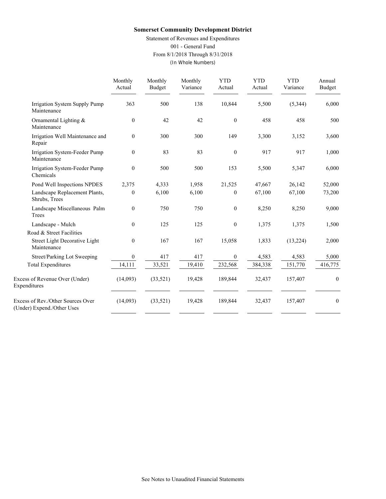Statement of Revenues and Expenditures

001 - General Fund

From 8/1/2018 Through 8/31/2018

(In Whole Numbers)

|                                                                 | Monthly<br>Actual | Monthly<br><b>Budget</b> | Monthly<br>Variance | <b>YTD</b><br>Actual | <b>YTD</b><br>Actual | <b>YTD</b><br>Variance | Annual<br><b>Budget</b> |
|-----------------------------------------------------------------|-------------------|--------------------------|---------------------|----------------------|----------------------|------------------------|-------------------------|
| Irrigation System Supply Pump<br>Maintenance                    | 363               | 500                      | 138                 | 10,844               | 5,500                | (5,344)                | 6,000                   |
| Ornamental Lighting $\&$<br>Maintenance                         | $\boldsymbol{0}$  | 42                       | 42                  | $\boldsymbol{0}$     | 458                  | 458                    | 500                     |
| Irrigation Well Maintenance and<br>Repair                       | $\mathbf{0}$      | 300                      | 300                 | 149                  | 3,300                | 3,152                  | 3,600                   |
| Irrigation System-Feeder Pump<br>Maintenance                    | $\mathbf{0}$      | 83                       | 83                  | $\mathbf{0}$         | 917                  | 917                    | 1,000                   |
| Irrigation System-Feeder Pump<br>Chemicals                      | $\theta$          | 500                      | 500                 | 153                  | 5,500                | 5,347                  | 6,000                   |
| Pond Well Inspections NPDES                                     | 2,375             | 4,333                    | 1,958               | 21,525               | 47,667               | 26,142                 | 52,000                  |
| Landscape Replacement Plants,<br>Shrubs, Trees                  | $\mathbf{0}$      | 6,100                    | 6,100               | $\mathbf{0}$         | 67,100               | 67,100                 | 73,200                  |
| Landscape Miscellaneous Palm<br>Trees                           | $\boldsymbol{0}$  | 750                      | 750                 | $\boldsymbol{0}$     | 8,250                | 8,250                  | 9,000                   |
| Landscape - Mulch                                               | $\mathbf{0}$      | 125                      | 125                 | $\boldsymbol{0}$     | 1,375                | 1,375                  | 1,500                   |
| Road & Street Facilities                                        |                   |                          |                     |                      |                      |                        |                         |
| Street Light Decorative Light<br>Maintenance                    | $\mathbf{0}$      | 167                      | 167                 | 15,058               | 1,833                | (13,224)               | 2,000                   |
| Street/Parking Lot Sweeping                                     | $\mathbf{0}$      | 417                      | 417                 | $\overline{0}$       | 4,583                | 4,583                  | 5,000                   |
| <b>Total Expenditures</b>                                       | 14,111            | 33,521                   | 19,410              | 232,568              | 384,338              | 151,770                | 416,775                 |
| Excess of Revenue Over (Under)<br>Expenditures                  | (14,093)          | (33, 521)                | 19,428              | 189,844              | 32,437               | 157,407                | $\mathbf{0}$            |
| Excess of Rev./Other Sources Over<br>(Under) Expend./Other Uses | (14,093)          | (33,521)                 | 19,428              | 189,844              | 32,437               | 157,407                | $\boldsymbol{0}$        |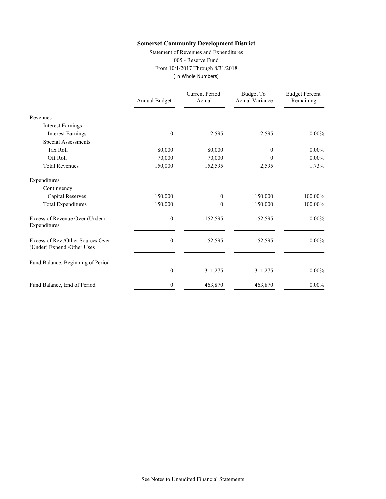Statement of Revenues and Expenditures 005 - Reserve Fund From 10/1/2017 Through 8/31/2018 (In Whole Numbers)

|                                                                 | Annual Budget    | <b>Current Period</b><br>Actual | Budget To<br><b>Actual Variance</b> | <b>Budget Percent</b><br>Remaining |
|-----------------------------------------------------------------|------------------|---------------------------------|-------------------------------------|------------------------------------|
| Revenues                                                        |                  |                                 |                                     |                                    |
| <b>Interest Earnings</b>                                        |                  |                                 |                                     |                                    |
| <b>Interest Earnings</b>                                        | $\theta$         | 2,595                           | 2,595                               | $0.00\%$                           |
| <b>Special Assessments</b>                                      |                  |                                 |                                     |                                    |
| <b>Tax Roll</b>                                                 | 80,000           | 80,000                          | $\mathbf{0}$                        | $0.00\%$                           |
| Off Roll                                                        | 70,000           | 70,000                          | 0                                   | $0.00\%$                           |
| <b>Total Revenues</b>                                           | 150,000          | 152,595                         | 2,595                               | 1.73%                              |
| Expenditures                                                    |                  |                                 |                                     |                                    |
| Contingency                                                     |                  |                                 |                                     |                                    |
| <b>Capital Reserves</b>                                         | 150,000          | 0                               | 150,000                             | 100.00%                            |
| <b>Total Expenditures</b>                                       | 150,000          | $\Omega$                        | 150,000                             | 100.00%                            |
| Excess of Revenue Over (Under)<br>Expenditures                  | $\boldsymbol{0}$ | 152,595                         | 152,595                             | $0.00\%$                           |
| Excess of Rev./Other Sources Over<br>(Under) Expend./Other Uses | $\boldsymbol{0}$ | 152,595                         | 152,595                             | $0.00\%$                           |
| Fund Balance, Beginning of Period                               |                  |                                 |                                     |                                    |
|                                                                 | $\boldsymbol{0}$ | 311,275                         | 311,275                             | $0.00\%$                           |
| Fund Balance, End of Period                                     | 0                | 463,870                         | 463,870                             | $0.00\%$                           |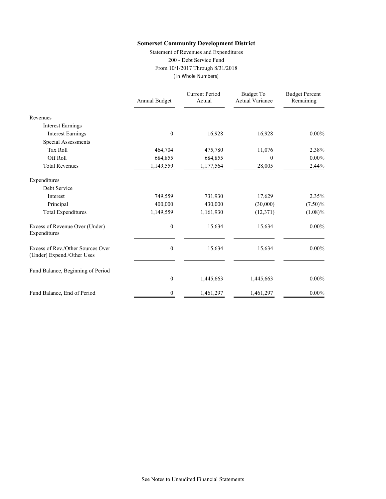Statement of Revenues and Expenditures 200 - Debt Service Fund From 10/1/2017 Through 8/31/2018 (In Whole Numbers)

|                                                                 | Annual Budget    | <b>Current Period</b><br>Actual | <b>Budget To</b><br><b>Actual Variance</b> | <b>Budget Percent</b><br>Remaining |
|-----------------------------------------------------------------|------------------|---------------------------------|--------------------------------------------|------------------------------------|
| Revenues                                                        |                  |                                 |                                            |                                    |
| <b>Interest Earnings</b>                                        |                  |                                 |                                            |                                    |
| <b>Interest Earnings</b>                                        | $\boldsymbol{0}$ | 16,928                          | 16,928                                     | $0.00\%$                           |
| Special Assessments                                             |                  |                                 |                                            |                                    |
| <b>Tax Roll</b>                                                 | 464,704          | 475,780                         | 11,076                                     | 2.38%                              |
| Off Roll                                                        | 684,855          | 684,855                         | 0                                          | $0.00\%$                           |
| <b>Total Revenues</b>                                           | 1,149,559        | 1,177,564                       | 28,005                                     | 2.44%                              |
| Expenditures                                                    |                  |                                 |                                            |                                    |
| Debt Service                                                    |                  |                                 |                                            |                                    |
| Interest                                                        | 749,559          | 731,930                         | 17,629                                     | 2.35%                              |
| Principal                                                       | 400,000          | 430,000                         | (30,000)                                   | $(7.50)\%$                         |
| <b>Total Expenditures</b>                                       | 1,149,559        | 1,161,930                       | (12, 371)                                  | $(1.08)\%$                         |
| Excess of Revenue Over (Under)<br>Expenditures                  | $\boldsymbol{0}$ | 15,634                          | 15,634                                     | $0.00\%$                           |
| Excess of Rev./Other Sources Over<br>(Under) Expend./Other Uses | $\boldsymbol{0}$ | 15,634                          | 15,634                                     | $0.00\%$                           |
| Fund Balance, Beginning of Period                               |                  |                                 |                                            |                                    |
|                                                                 | $\boldsymbol{0}$ | 1,445,663                       | 1,445,663                                  | $0.00\%$                           |
| Fund Balance, End of Period                                     | 0                | 1,461,297                       | 1,461,297                                  | $0.00\%$                           |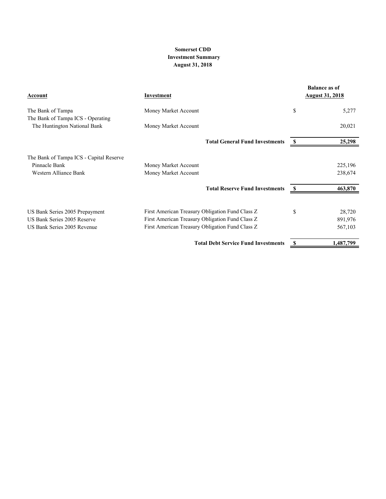#### **Somerset CDD Investment Summary August 31, 2018**

| Account                                                | Investment                                      |    | <b>Balance as of</b><br><b>August 31, 2018</b> |
|--------------------------------------------------------|-------------------------------------------------|----|------------------------------------------------|
| The Bank of Tampa<br>The Bank of Tampa ICS - Operating | Money Market Account                            | \$ | 5,277                                          |
| The Huntington National Bank                           | Money Market Account                            |    | 20,021                                         |
|                                                        | <b>Total General Fund Investments</b>           | S  | 25,298                                         |
| The Bank of Tampa ICS - Capital Reserve                |                                                 |    |                                                |
| Pinnacle Bank                                          | Money Market Account                            |    | 225,196                                        |
| Western Alliance Bank                                  | Money Market Account                            |    | 238,674                                        |
|                                                        | <b>Total Reserve Fund Investments</b>           |    | 463,870                                        |
| US Bank Series 2005 Prepayment                         | First American Treasury Obligation Fund Class Z | \$ | 28,720                                         |
| US Bank Series 2005 Reserve                            | First American Treasury Obligation Fund Class Z |    | 891,976                                        |
| US Bank Series 2005 Revenue                            | First American Treasury Obligation Fund Class Z |    | 567,103                                        |
|                                                        | <b>Total Debt Service Fund Investments</b>      |    | 1,487,799                                      |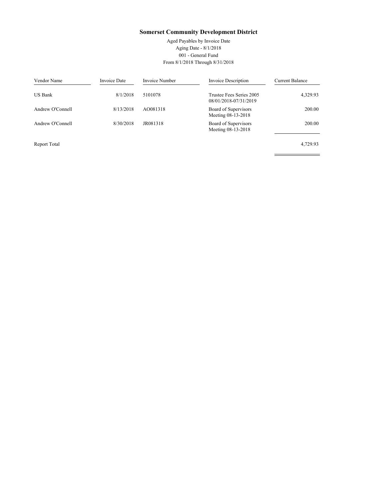Aged Payables by Invoice Date Aging Date - 8/1/2018 001 - General Fund From 8/1/2018 Through 8/31/2018

 $\equiv$ 

 $\overline{\phantom{0}}$ 

| Vendor Name      | Invoice Date | Invoice Number | Invoice Description                               | <b>Current Balance</b> |
|------------------|--------------|----------------|---------------------------------------------------|------------------------|
| <b>US Bank</b>   | 8/1/2018     | 5101078        | Trustee Fees Series 2005<br>08/01/2018-07/31/2019 | 4,329.93               |
| Andrew O'Connell | 8/13/2018    | AO081318       | Board of Supervisors<br>Meeting 08-13-2018        | 200.00                 |
| Andrew O'Connell | 8/30/2018    | JR081318       | Board of Supervisors<br>Meeting 08-13-2018        | 200.00                 |
| Report Total     |              |                |                                                   | 4,729.93               |